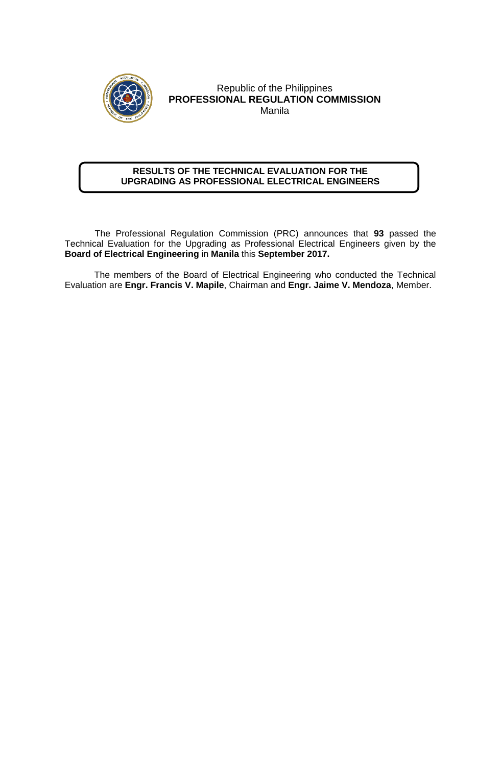

## Republic of the Philippines **PROFESSIONAL REGULATION COMMISSION** Manila

## **RESULTS OF THE TECHNICAL EVALUATION FOR THE UPGRADING AS PROFESSIONAL ELECTRICAL ENGINEERS**

 The Professional Regulation Commission (PRC) announces that **93** passed the Technical Evaluation for the Upgrading as Professional Electrical Engineers given by the **Board of Electrical Engineering** in **Manila** this **September 2017.** 

The members of the Board of Electrical Engineering who conducted the Technical Evaluation are **Engr. Francis V. Mapile**, Chairman and **Engr. Jaime V. Mendoza**, Member.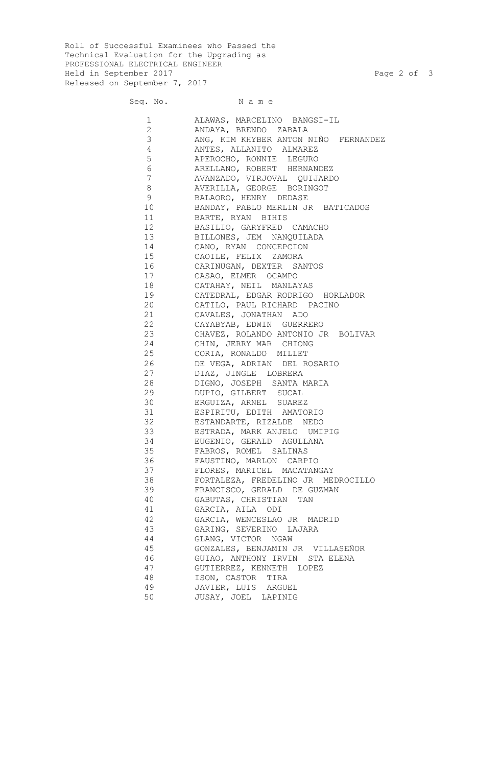Roll of Successful Examinees who Passed the Technical Evaluation for the Upgrading as PROFESSIONAL ELECTRICAL ENGINEER Held in September 2017 **Page 2 of 3** Released on September 7, 2017

Seq. No. Name

 ALAWAS, MARCELINO BANGSI-IL ANDAYA, BRENDO ZABALA ANG, KIM KHYBER ANTON NIÑO FERNANDEZ ANTES, ALLANITO ALMAREZ APEROCHO, RONNIE LEGURO 6 ARELLANO, ROBERT HERNANDEZ AVANZADO, VIRJOVAL QUIJARDO AVERILLA, GEORGE BORINGOT BALAORO, HENRY DEDASE BANDAY, PABLO MERLIN JR BATICADOS BARTE, RYAN BIHIS BASILIO, GARYFRED CAMACHO BILLONES, JEM NANQUILADA 14 CANO, RYAN CONCEPCION<br>15 CAOILE, FELIX ZAMORA CAOILE, FELIX ZAMORA CARINUGAN, DEXTER SANTOS CASAO, ELMER OCAMPO CATAHAY, NEIL MANLAYAS CATEDRAL, EDGAR RODRIGO HORLADOR CATILO, PAUL RICHARD PACINO CAVALES, JONATHAN ADO CAYABYAB, EDWIN GUERRERO CHAVEZ, ROLANDO ANTONIO JR BOLIVAR CHIN, JERRY MAR CHIONG CORIA, RONALDO MILLET DE VEGA, ADRIAN DEL ROSARIO DIAZ, JINGLE LOBRERA DIGNO, JOSEPH SANTA MARIA DUPIO, GILBERT SUCAL ERGUIZA, ARNEL SUAREZ ESPIRITU, EDITH AMATORIO ESTANDARTE, RIZALDE NEDO ESTRADA, MARK ANJELO UMIPIG EUGENIO, GERALD AGULLANA FABROS, ROMEL SALINAS FAUSTINO, MARLON CARPIO FLORES, MARICEL MACATANGAY FORTALEZA, FREDELINO JR MEDROCILLO FRANCISCO, GERALD DE GUZMAN GABUTAS, CHRISTIAN TAN GARCIA, AILA ODI GARCIA, WENCESLAO JR MADRID GARING, SEVERINO LAJARA GLANG, VICTOR NGAW GONZALES, BENJAMIN JR VILLASEÑOR GUIAO, ANTHONY IRVIN STA ELENA GUTIERREZ, KENNETH LOPEZ ISON, CASTOR TIRA JAVIER, LUIS ARGUEL JUSAY, JOEL LAPINIG